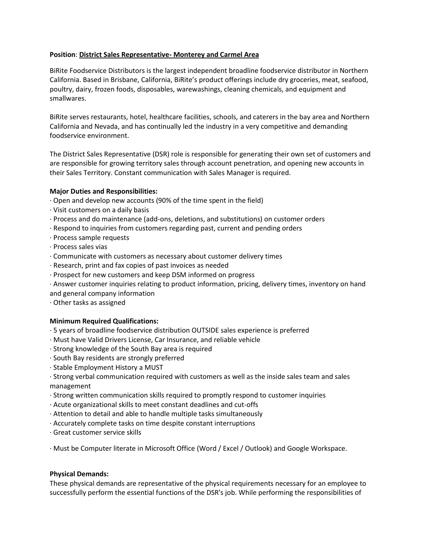#### **Position**: **District Sales Representative- Monterey and Carmel Area**

BiRite Foodservice Distributors is the largest independent broadline foodservice distributor in Northern California. Based in Brisbane, California, BiRite's product offerings include dry groceries, meat, seafood, poultry, dairy, frozen foods, disposables, warewashings, cleaning chemicals, and equipment and smallwares.

BiRite serves restaurants, hotel, healthcare facilities, schools, and caterers in the bay area and Northern California and Nevada, and has continually led the industry in a very competitive and demanding foodservice environment.

The District Sales Representative (DSR) role is responsible for generating their own set of customers and are responsible for growing territory sales through account penetration, and opening new accounts in their Sales Territory. Constant communication with Sales Manager is required.

# **Major Duties and Responsibilities:**

- · Open and develop new accounts (90% of the time spent in the field)
- · Visit customers on a daily basis
- · Process and do maintenance (add-ons, deletions, and substitutions) on customer orders
- · Respond to inquiries from customers regarding past, current and pending orders
- · Process sample requests
- · Process sales vias
- · Communicate with customers as necessary about customer delivery times
- · Research, print and fax copies of past invoices as needed
- · Prospect for new customers and keep DSM informed on progress
- · Answer customer inquiries relating to product information, pricing, delivery times, inventory on hand
- and general company information
- · Other tasks as assigned

#### **Minimum Required Qualifications:**

- · 5 years of broadline foodservice distribution OUTSIDE sales experience is preferred
- · Must have Valid Drivers License, Car Insurance, and reliable vehicle
- · Strong knowledge of the South Bay area is required
- · South Bay residents are strongly preferred
- · Stable Employment History a MUST
- · Strong verbal communication required with customers as well as the inside sales team and sales management
- · Strong written communication skills required to promptly respond to customer inquiries
- · Acute organizational skills to meet constant deadlines and cut-offs
- · Attention to detail and able to handle multiple tasks simultaneously
- · Accurately complete tasks on time despite constant interruptions
- · Great customer service skills

· Must be Computer literate in Microsoft Office (Word / Excel / Outlook) and Google Workspace.

#### **Physical Demands:**

These physical demands are representative of the physical requirements necessary for an employee to successfully perform the essential functions of the DSR's job. While performing the responsibilities of